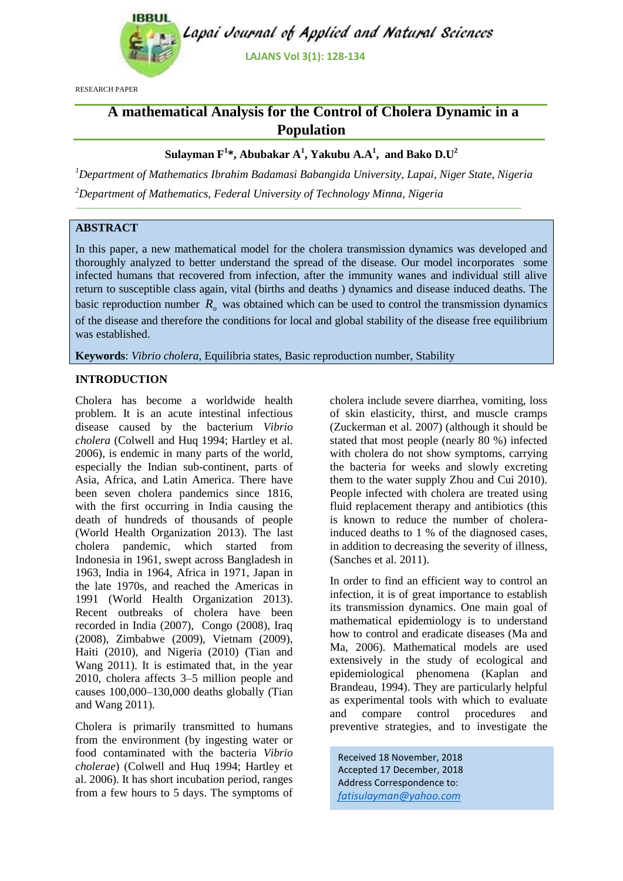

RESEARCH PAPER

## **A mathematical Analysis for the Control of Cholera Dynamic in a Population**

## $\boldsymbol{\mathrm{Sulayman\ F^{1*}, \mathrm{Abubakar\ A^1, Yakubu\ A.A^1, \mathrm{\ and\ Bako\ D.U^2}}}$

*<sup>1</sup>Department of Mathematics Ibrahim Badamasi Babangida University, Lapai, Niger State, Nigeria <sup>2</sup>Department of Mathematics, Federal University of Technology Minna, Nigeria*

## **ABSTRACT**

In this paper, a new mathematical model for the cholera transmission dynamics was developed and thoroughly analyzed to better understand the spread of the disease. Our model incorporates some infected humans that recovered from infection, after the immunity wanes and individual still alive return to susceptible class again, vital (births and deaths ) dynamics and disease induced deaths. The basic reproduction number  $R$ <sup> $\sigma$ </sup> was obtained which can be used to control the transmission dynamics of the disease and therefore the conditions for local and global stability of the disease free equilibrium was established.

**Keywords**: *Vibrio cholera*, Equilibria states, Basic reproduction number, Stability

#### **INTRODUCTION**

Cholera has become a worldwide health problem. It is an acute intestinal infectious disease caused by the bacterium *Vibrio cholera* (Colwell and Huq 1994; Hartley et al. 2006), is endemic in many parts of the world, especially the Indian sub-continent, parts of Asia, Africa, and Latin America. There have been seven cholera pandemics since 1816, with the first occurring in India causing the death of hundreds of thousands of people (World Health Organization 2013). The last cholera pandemic, which started from Indonesia in 1961, swept across Bangladesh in 1963, India in 1964, Africa in 1971, Japan in the late 1970s, and reached the Americas in 1991 (World Health Organization 2013). Recent outbreaks of cholera have been recorded in India (2007), Congo (2008), Iraq (2008), Zimbabwe (2009), Vietnam (2009), Haiti (2010), and Nigeria (2010) (Tian and Wang 2011). It is estimated that, in the year 2010, cholera affects 3–5 million people and causes 100,000–130,000 deaths globally (Tian and Wang 2011).

Cholera is primarily transmitted to humans from the environment (by ingesting water or food contaminated with the bacteria *Vibrio cholerae*) (Colwell and Huq 1994; Hartley et al. 2006). It has short incubation period, ranges from a few hours to 5 days. The symptoms of cholera include severe diarrhea, vomiting, loss of skin elasticity, thirst, and muscle cramps (Zuckerman et al. 2007) (although it should be stated that most people (nearly 80 %) infected with cholera do not show symptoms, carrying the bacteria for weeks and slowly excreting them to the water supply Zhou and Cui 2010). People infected with cholera are treated using fluid replacement therapy and antibiotics (this is known to reduce the number of cholerainduced deaths to 1 % of the diagnosed cases, in addition to decreasing the severity of illness, (Sanches et al. 2011).

In order to find an efficient way to control an infection, it is of great importance to establish its transmission dynamics. One main goal of mathematical epidemiology is to understand how to control and eradicate diseases (Ma and Ma, 2006). Mathematical models are used extensively in the study of ecological and epidemiological phenomena (Kaplan and Brandeau, 1994). They are particularly helpful as experimental tools with which to evaluate and compare control procedures and preventive strategies, and to investigate the

Received 18 November, 2018 Accepted 17 December, 2018 Address Correspondence to: *fatisulayman@yahoo.com*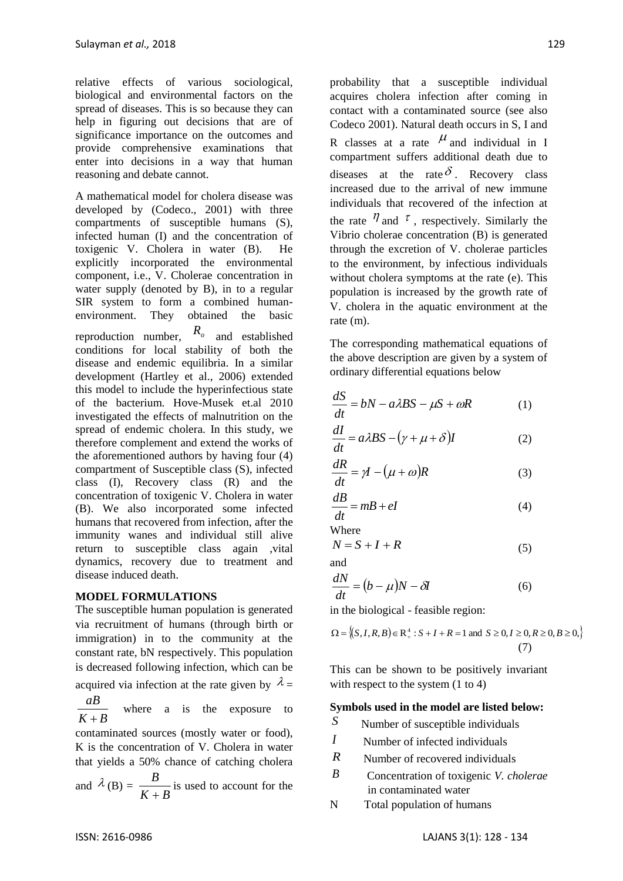relative effects of various sociological, biological and environmental factors on the spread of diseases. This is so because they can help in figuring out decisions that are of significance importance on the outcomes and provide comprehensive examinations that enter into decisions in a way that human reasoning and debate cannot.

A mathematical model for cholera disease was developed by (Codeco., 2001) with three compartments of susceptible humans (S), infected human (I) and the concentration of toxigenic V. Cholera in water (B). He explicitly incorporated the environmental component, i.e., V. Cholerae concentration in water supply (denoted by B), in to a regular SIR system to form a combined humanenvironment. They obtained the basic reproduction number, *Ro* and established conditions for local stability of both the disease and endemic equilibria. In a similar development (Hartley et al., 2006) extended this model to include the hyperinfectious state of the bacterium. Hove-Musek et.al 2010 investigated the effects of malnutrition on the spread of endemic cholera. In this study, we therefore complement and extend the works of the aforementioned authors by having four (4) compartment of Susceptible class (S), infected class (I), Recovery class (R) and the concentration of toxigenic V. Cholera in water (B). We also incorporated some infected humans that recovered from infection, after the immunity wanes and individual still alive return to susceptible class again ,vital dynamics, recovery due to treatment and disease induced death.

#### **MODEL FORMULATIONS**

The susceptible human population is generated via recruitment of humans (through birth or immigration) in to the community at the constant rate, bN respectively. This population is decreased following infection, which can be acquired via infection at the rate given by  $\lambda =$ *aB*

 $K + B$  $^{+}$ where a is the exposure to

contaminated sources (mostly water or food), K is the concentration of V. Cholera in water that yields a 50% chance of catching cholera

and 
$$
\lambda(B) = \frac{B}{K+B}
$$
 is used to account for the

probability that a susceptible individual acquires cholera infection after coming in contact with a contaminated source (see also Codeco 2001). Natural death occurs in S, I and R classes at a rate  $\mu$  and individual in I compartment suffers additional death due to diseases at the rate  $\delta$ . Recovery class increased due to the arrival of new immune individuals that recovered of the infection at the rate  $\eta$  and  $\tau$ , respectively. Similarly the Vibrio cholerae concentration (B) is generated through the excretion of V. cholerae particles to the environment, by infectious individuals without cholera symptoms at the rate (e). This population is increased by the growth rate of V. cholera in the aquatic environment at the rate (m).

The corresponding mathematical equations of the above description are given by a system of ordinary differential equations below

$$
\frac{dS}{dt} = bN - a\lambda BS - \mu S + \omega R \tag{1}
$$

$$
\frac{dI}{dt} = a\lambda BS - (\gamma + \mu + \delta)I
$$
 (2)

$$
\frac{dR}{dt} = \gamma I - (\mu + \omega)R\tag{3}
$$

$$
\frac{dB}{dt} = mB + eI \tag{4}
$$

Where

$$
N = S + I + R \tag{5}
$$

and

$$
\frac{dN}{dt} = (b - \mu)N - \delta I \tag{6}
$$

in the biological - feasible region:

$$
\Omega = \{(S, I, R, B) \in \mathbb{R}^4 : S + I + R = 1 \text{ and } S \ge 0, I \ge 0, R \ge 0, B \ge 0.\}
$$
\n(7)

This can be shown to be positively invariant with respect to the system  $(1 to 4)$ 

#### **Symbols used in the model are listed below:**

- *S* Number of susceptible individuals
- *I* Number of infected individuals
- *R* Number of recovered individuals
- *B* Concentration of toxigenic *V. cholerae* in contaminated water
- N Total population of humans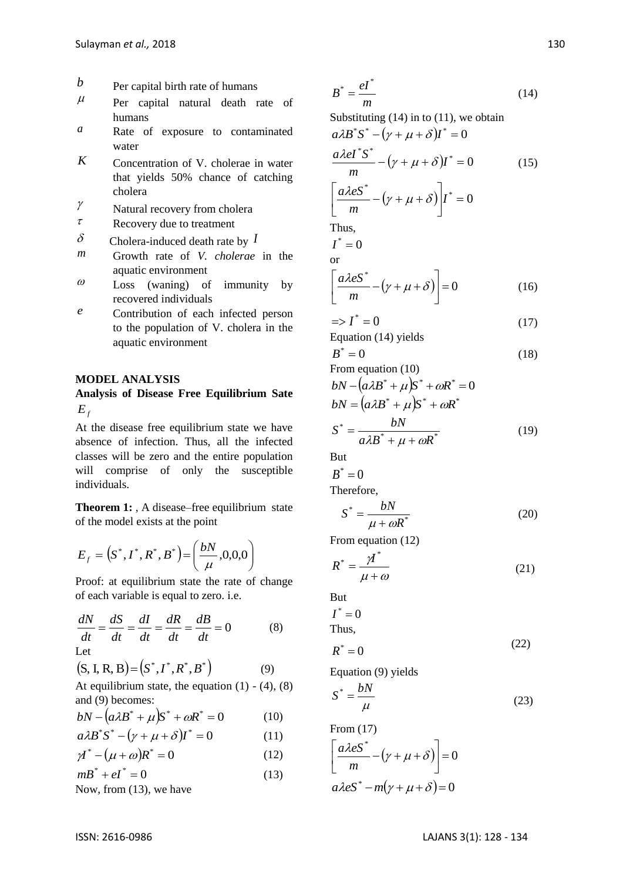- *b* Per capital birth rate of humans
- $\mu$ Per capital natural death rate of humans
- *a* Rate of exposure to contaminated water
- *K* Concentration of V. cholerae in water that yields 50% chance of catching cholera
- $\gamma$ Natural recovery from cholera
- $\tau$ Recovery due to treatment
- $\delta$  Cholera-induced death rate by  $I$
- *m* Growth rate of *V. cholerae* in the aquatic environment
- $\omega$  Loss (waning) of immunity by recovered individuals
- *e* Contribution of each infected person to the population of V. cholera in the aquatic environment

#### **MODEL ANALYSIS**

### **Analysis of Disease Free Equilibrium Sate**   $E_f$

At the disease free equilibrium state we have absence of infection. Thus, all the infected classes will be zero and the entire population will comprise of only the susceptible individuals.

**Theorem 1:** , A disease–free equilibrium state of the model exists at the point

$$
E_f = (S^*, I^*, R^*, B^*) = \left(\frac{bN}{\mu}, 0, 0, 0\right)
$$

Proof: at equilibrium state the rate of change of each variable is equal to zero. i.e.

$$
\frac{dN}{dt} = \frac{dS}{dt} = \frac{dI}{dt} = \frac{dR}{dt} = \frac{dB}{dt} = 0
$$
 (8)

$$
(S, I, R, B) = (S^*, I^*, R^*, B^*)
$$
 (9)

At equilibrium state, the equation  $(1)$  -  $(4)$ ,  $(8)$ and (9) becomes:

$$
bN - (a\lambda B^* + \mu)S^* + \omega R^* = 0 \qquad (10)
$$

$$
a\lambda B^*S^* - (\gamma + \mu + \delta)I^* = 0 \tag{11}
$$

$$
\chi^* - (\mu + \omega)R^* = 0 \tag{12}
$$

$$
mB^* + eI^* = 0 \tag{13}
$$

Now, from (13), we have

$$
B^* = \frac{eI^*}{m} \tag{14}
$$

Substituting  $(14)$  in to  $(11)$ , we obtain  $a\lambda B^*S^*-(\gamma+\mu+\delta)I^*=0$ 

$$
\frac{a\lambda eI^*S^*}{m} - (\gamma + \mu + \delta)I^* = 0 \qquad (15)
$$

$$
\left[\frac{a\lambda eS^*}{m} - (\gamma + \mu + \delta)\right]I^* = 0
$$

Thus,

$$
I^* = 0
$$
 or

$$
\left[\frac{a\lambda eS^*}{m} - \left(\gamma + \mu + \delta\right)\right] = 0\tag{16}
$$

$$
I^* = 0
$$
 (17)  
Equation (14) yields

$$
B^* = 0 \tag{18}
$$

From equation (10)  
\n
$$
bN - (a\lambda B^* + \mu)S^* + \omega R^* = 0
$$
\n
$$
bN = (a\lambda B^* + \mu)S^* + \omega R^*
$$
\n
$$
S^* = \frac{bN}{a\lambda B^* + \mu + \omega R^*}
$$
\n(19)

But

$$
B^* = 0
$$
  
Therefore,

$$
S^* = \frac{bN}{\mu + \omega R^*}
$$
 (20)

From equation (12)

$$
R^* = \frac{\gamma I^*}{\mu + \omega} \tag{21}
$$

But

$$
I^* = 0
$$
  
Thus,  

$$
R^* = 0
$$
 (22)

Equation (9) yields

$$
S^* = \frac{bN}{\mu} \tag{23}
$$

From (17)  
\n
$$
\left[\frac{a\lambda eS^*}{m} - (\gamma + \mu + \delta)\right] = 0
$$
\n
$$
a\lambda eS^* - m(\gamma + \mu + \delta) = 0
$$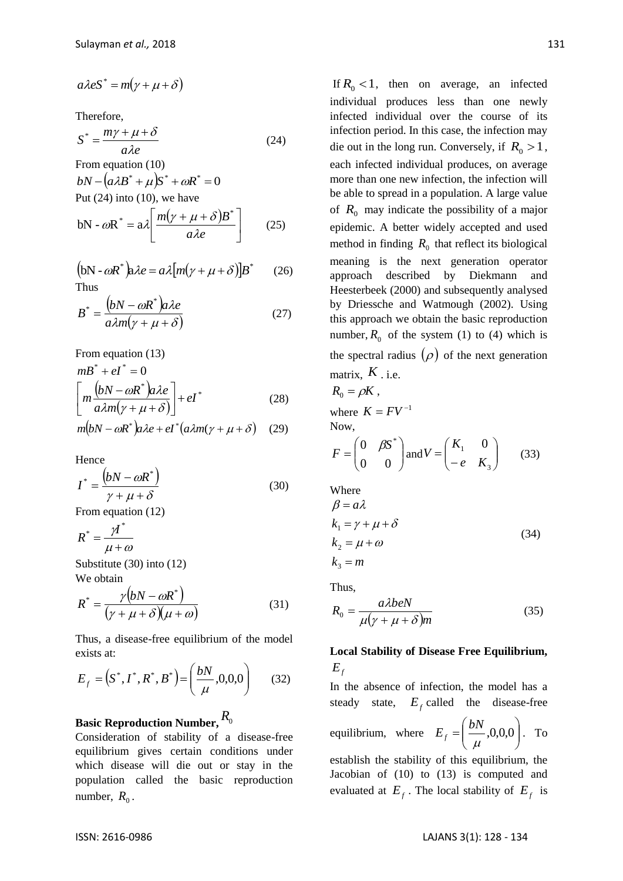$$
a\lambda eS^* = m(\gamma + \mu + \delta)
$$

Therefore,

$$
S^* = \frac{m\gamma + \mu + \delta}{a\lambda e}
$$
 (24)  
From equation (10)  

$$
bN - (a\lambda B^* + \mu)S^* + \omega R^* = 0
$$
  
Put (24) into (10), we have  

$$
\begin{bmatrix} m(\alpha + \mu + S)B^* \\ m(\alpha + \mu + S)B^* \end{bmatrix}
$$

$$
bN - \omega R^* = a\lambda \left[ \frac{m(\gamma + \mu + \delta)B^*}{a\lambda e} \right]
$$
 (25)

$$
(\text{bN} - \omega R^*)\mathbf{a}\lambda e = a\lambda [m(\gamma + \mu + \delta)]B^* \qquad (26)
$$
  
Thus

$$
B^* = \frac{(bN - \omega R^*)a\lambda e}{a\lambda m(\gamma + \mu + \delta)}
$$
 (27)

From equation (13)

$$
mB^* + eI^* = 0
$$
  
\n
$$
\left[ m \frac{(bN - \omega R^*) a \lambda e}{a \lambda m (\gamma + \mu + \delta)} \right] + eI^*
$$
 (28)

$$
m(bN - \omega R^*)a\lambda e + eI^*(a\lambda m(\gamma + \mu + \delta) \quad (29)
$$

Hence

$$
I^* = \frac{(bN - \omega R^*)}{\gamma + \mu + \delta} \tag{30}
$$

From equation (12)

$$
R^* = \frac{\gamma I^*}{\mu + \omega}
$$

Substitute (30) into (12) We obtain

$$
R^* = \frac{\gamma(bN - \omega R^*)}{(\gamma + \mu + \delta)(\mu + \omega)}
$$
(31)

Thus, a disease-free equilibrium of the model exists at:

$$
E_f = (S^*, I^*, R^*, B^*) = \left(\frac{bN}{\mu}, 0, 0, 0\right) \tag{32}
$$

# **Basic Reproduction Number,** *R*0

Consideration of stability of a disease-free equilibrium gives certain conditions under which disease will die out or stay in the population called the basic reproduction number,  $R_0$ .

If  $R_0 < 1$ , then on average, an infected individual produces less than one newly infected individual over the course of its infection period. In this case, the infection may die out in the long run. Conversely, if  $R_0 > 1$ , each infected individual produces, on average more than one new infection, the infection will be able to spread in a population. A large value of  $R_0$  may indicate the possibility of a major epidemic. A better widely accepted and used method in finding  $R_0$  that reflect its biological meaning is the next generation operator approach described by Diekmann and Heesterbeek (2000) and subsequently analysed by Driessche and Watmough (2002). Using this approach we obtain the basic reproduction number,  $R_0$  of the system (1) to (4) which is the spectral radius  $(\rho)$  of the next generation matrix,  $K_{\text{...i.e.}}$ 

$$
R_0 = \rho K ,
$$
  
where  $K = FV^{-1}$   
Now,  

$$
\left(0 - \rho S^*\right)
$$

$$
F = \begin{pmatrix} 0 & \beta S^* \\ 0 & 0 \end{pmatrix} \text{and } V = \begin{pmatrix} K_1 & 0 \\ -e & K_3 \end{pmatrix} \tag{33}
$$

Where

$$
\beta = a\lambda
$$
  
\n
$$
k_1 = \gamma + \mu + \delta
$$
  
\n
$$
k_2 = \mu + \omega
$$
  
\n
$$
k_3 = m
$$
\n(34)

Thus,

$$
R_0 = \frac{a\lambda beN}{\mu(\gamma + \mu + \delta)m} \tag{35}
$$

## **Local Stability of Disease Free Equilibrium,**   $E_f$

In the absence of infection, the model has a steady state,  $E_f$  called the disease-free equilibrium, where  $E_f = \frac{\partial W}{\partial t}$ ,0,0,0  $\bigg)$  $\left( \right)$  $\overline{\phantom{a}}$  $\setminus$  $=\left(\frac{bN}{c},0,0,0\right)$  $E_f = \left(\frac{bN}{\mu}, 0, 0, 0\right)$ . To establish the stability of this equilibrium, the Jacobian of (10) to (13) is computed and evaluated at  $E_f$ . The local stability of  $E_f$  is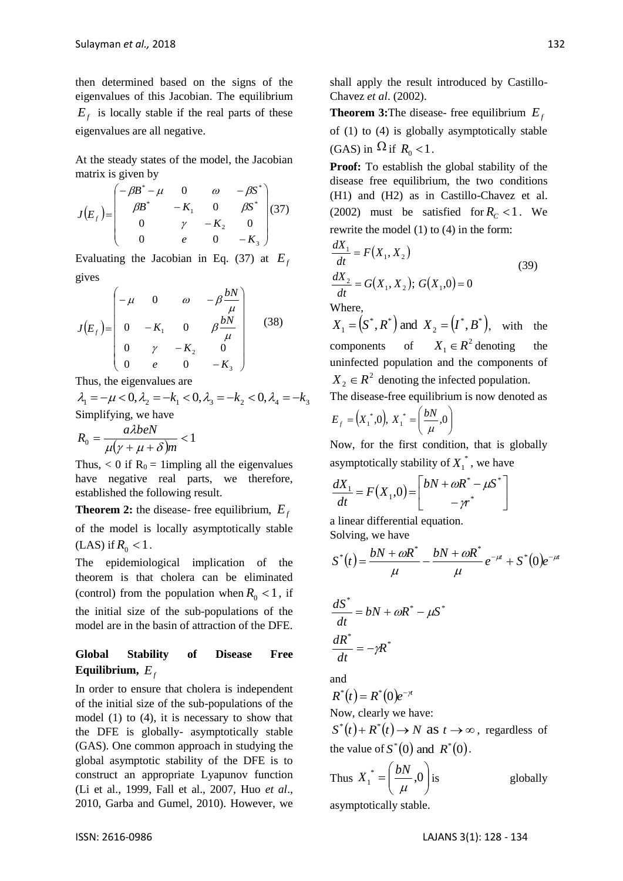then determined based on the signs of the eigenvalues of this Jacobian. The equilibrium  $E_f$  is locally stable if the real parts of these eigenvalues are all negative.

At the steady states of the model, the Jacobian matrix is given by

$$
J(E_f) = \begin{pmatrix} -\beta B^* - \mu & 0 & \omega & -\beta S^* \\ \beta B^* & -K_1 & 0 & \beta S^* \\ 0 & \gamma & -K_2 & 0 \\ 0 & e & 0 & -K_3 \end{pmatrix} (37)
$$

Evaluating the Jacobian in Eq. (37) at  $E_f$ gives

$$
J(E_f) = \begin{pmatrix} -\mu & 0 & \omega & -\beta \frac{bN}{\mu} \\ 0 & -K_1 & 0 & \beta \frac{bN}{\mu} \\ 0 & \gamma & -K_2 & 0 \\ 0 & e & 0 & -K_3 \end{pmatrix}
$$
 (38)

Thus, the eigenvalues are

 $\lambda_1 = -\mu < 0, \lambda_2 = -k_1 < 0, \lambda_3 = -k_2 < 0, \lambda_4 = -k_3$ Simplifying, we have

$$
R_0 = \frac{a\lambda beN}{\mu(\gamma + \mu + \delta)m} < 1
$$

Thus,  $< 0$  if  $R_0 = 1$  impling all the eigenvalues have negative real parts, we therefore, established the following result.

**Theorem 2:** the disease- free equilibrium,  $E_f$ 

of the model is locally asymptotically stable (LAS) if  $R_0 < 1$ .

The epidemiological implication of the theorem is that cholera can be eliminated (control) from the population when  $R_0 < 1$ , if the initial size of the sub-populations of the model are in the basin of attraction of the DFE.

## **Global Stability of Disease Free Equilibrium,**  *Ef*

In order to ensure that cholera is independent of the initial size of the sub-populations of the model (1) to (4), it is necessary to show that the DFE is globally- asymptotically stable (GAS). One common approach in studying the global asymptotic stability of the DFE is to construct an appropriate Lyapunov function (Li et al., 1999, Fall et al., 2007, Huo *et al*., 2010, Garba and Gumel, 2010). However, we

shall apply the result introduced by Castillo-Chavez *et al*. (2002).

**Theorem 3:** The disease- free equilibrium  $E_f$ of (1) to (4) is globally asymptotically stable (GAS) in  $\Omega$  if  $R_0 < 1$ .

**Proof:** To establish the global stability of the disease free equilibrium, the two conditions (H1) and (H2) as in Castillo-Chavez et al. (2002) must be satisfied for  $R_C < 1$ . We rewrite the model (1) to (4) in the form:

$$
\frac{dX_1}{dt} = F(X_1, X_2)
$$
\n(39)  
\n
$$
\frac{dX_2}{dt} = G(X_1, X_2); G(X_1, 0) = 0
$$
\nWhere,  
\n
$$
X_1 = (S^*, R^*) \text{ and } X_2 = (I^*, B^*), \text{ with the}
$$

components of  $X_1 \in \mathbb{R}^2$  denoting the uninfected population and the components of  $X_2 \in \mathbb{R}^2$  denoting the infected population. The disease-free equilibrium is now denoted as

$$
E_f = (X_1^*, 0), X_1^* = \left(\frac{bN}{\mu}, 0\right)
$$

Now, for the first condition, that is globally asymptotically stability of  $X_1^*$ , we have

$$
\frac{dX_1}{dt} = F(X_1,0) = \begin{bmatrix} bN + \omega R^* - \mu S^* \\ -\gamma r^* \end{bmatrix}
$$

a linear differential equation. Solving, we have

$$
S^*(t) = \frac{bN + \omega R^*}{\mu} - \frac{bN + \omega R^*}{\mu} e^{-\mu t} + S^*(0)e^{-\mu t}
$$

$$
\frac{dS^*}{dt} = bN + \omega R^* - \mu S^*
$$

$$
\frac{dR^*}{dt} = -\gamma R^*
$$

and

 $R^*(t) = R^*(0)e^{-\gamma t}$ Now, clearly we have:

 $S^*(t) + R^*(t) \rightarrow N$  as  $t \rightarrow \infty$ , regardless of the value of  $S^*(0)$  and  $R^*(0)$ .

Thus 
$$
X_1^* = \left(\frac{bN}{\mu}, 0\right)
$$
 is globally

asymptotically stable.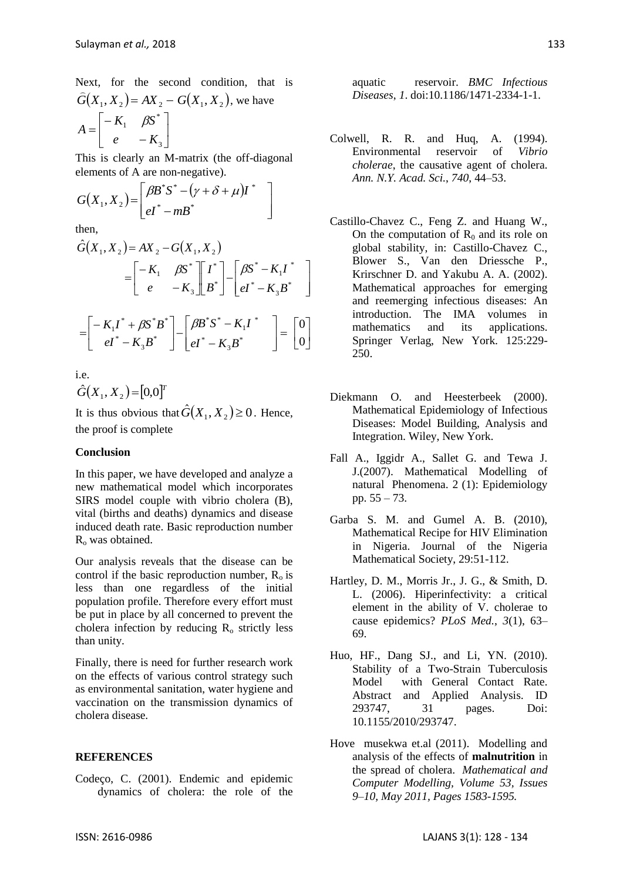Next, for the second condition, that is  $G(X_1, X_2) = AX_2 - G(X_1, X_2)$  $\frac{1}{2}$ , we have  $\overline{\phantom{a}}$  $\rfloor$  $\overline{\phantom{a}}$  $\mathbf{r}$ L  $\mathbf{r}$ - $\overline{a}$  $=$ 3 \* 1 *e K*  $K_1$   $\beta S$  $A = \begin{vmatrix} -K_1 & \beta_2 \end{vmatrix}$ 

This is clearly an M-matrix (the off-diagonal elements of A are non-negative).

$$
G(X_1, X_2) = \begin{bmatrix} \beta B^* S^* - (\gamma + \delta + \mu) I^* \\ eI^* - mB^* \end{bmatrix}
$$

then,

$$
\hat{G}(X_1, X_2) = AX_2 - G(X_1, X_2)
$$
  
= 
$$
\begin{bmatrix} -K_1 & \beta S^* \\ e & -K_3 \end{bmatrix} \begin{bmatrix} I^* \\ B^* \end{bmatrix} - \begin{bmatrix} \beta S^* - K_1 I^* \\ eI^* - K_3 B^* \end{bmatrix}
$$
  

$$
\begin{bmatrix} -K_1 I^* + \beta S^* B^* \end{bmatrix} \begin{bmatrix} \beta B^* S^* - K_1 I^* \end{bmatrix} \begin{bmatrix} 0 \end{bmatrix}
$$

$$
= \begin{bmatrix} -K_1 I^* + \beta S^* B^* \\ eI^* - K_3 B^* \end{bmatrix} - \begin{bmatrix} \beta B^* S^* - K_1 I^* \\ eI^* - K_3 B^* \end{bmatrix} = \begin{bmatrix} 0 \\ 0 \end{bmatrix}
$$

 $\overline{\phantom{a}}$  $\overline{\phantom{a}}$ 

i.e.

 $\hat{G}(X_1, X_2) = [0, 0]^T$ 

It is thus obvious that  $\hat{G}(X_1, X_2) \ge 0$ . Hence, the proof is complete

#### **Conclusion**

In this paper, we have developed and analyze a new mathematical model which incorporates SIRS model couple with vibrio cholera (B), vital (births and deaths) dynamics and disease induced death rate. Basic reproduction number  $R<sub>o</sub>$  was obtained.

Our analysis reveals that the disease can be control if the basic reproduction number,  $R_0$  is less than one regardless of the initial population profile. Therefore every effort must be put in place by all concerned to prevent the cholera infection by reducing  $R_0$  strictly less than unity.

Finally, there is need for further research work on the effects of various control strategy such as environmental sanitation, water hygiene and vaccination on the transmission dynamics of cholera disease.

#### **REFERENCES**

Codeço, C. (2001). Endemic and epidemic dynamics of cholera: the role of the aquatic reservoir. *BMC Infectious Diseases*, *1*. doi:10.1186/1471-2334-1-1.

- Colwell, R. R. and Huq, A. (1994). Environmental reservoir of *Vibrio cholerae*, the causative agent of cholera. *Ann. N.Y. Acad. Sci.*, *740*, 44–53.
- Castillo-Chavez C., Feng Z. and Huang W., On the computation of  $R_0$  and its role on global stability, in: Castillo-Chavez C., Blower S., Van den Driessche P., Krirschner D. and Yakubu A. A. (2002). Mathematical approaches for emerging and reemerging infectious diseases: An introduction. The IMA volumes in mathematics and its applications. Springer Verlag, New York. 125:229- 250.
- Diekmann O. and Heesterbeek (2000). Mathematical Epidemiology of Infectious Diseases: Model Building, Analysis and Integration. Wiley, New York.
- Fall A., Iggidr A., Sallet G. and Tewa J. J.(2007). Mathematical Modelling of natural Phenomena. 2 (1): Epidemiology pp. 55 – 73.
- Garba S. M. and Gumel A. B. (2010), Mathematical Recipe for HIV Elimination in Nigeria. Journal of the Nigeria Mathematical Society, 29:51-112.
- Hartley, D. M., Morris Jr., J. G., & Smith, D. L. (2006). Hiperinfectivity: a critical element in the ability of V. cholerae to cause epidemics? *PLoS Med.*, *3*(1), 63– 69.
- Huo, HF., Dang SJ., and Li, YN. (2010). Stability of a Two-Strain Tuberculosis Model with General Contact Rate. Abstract and Applied Analysis. ID 293747, 31 pages. Doi: 10.1155/2010/293747.
- Hove musekwa et.al (2011). Modelling and analysis of the effects of **malnutrition** in the spread of cholera. *Mathematical and Computer Modelling, Volume 53, Issues 9–10, May 2011, Pages 1583-1595.*